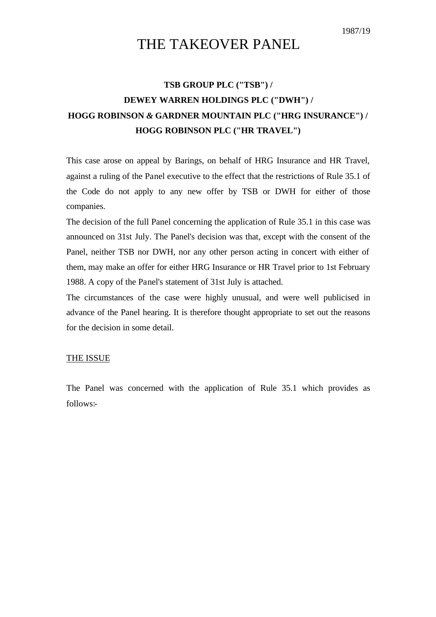# THE TAKEOVER PANEL

## **TSB GROUP PLC ("TSB") / DEWEY WARREN HOLDINGS PLC ("DWH") / HOGG ROBINSON** *&* **GARDNER MOUNTAIN PLC ("HRG INSURANCE") / HOGG ROBINSON PLC ("HR TRAVEL")**

This case arose on appeal by Barings, on behalf of HRG Insurance and HR Travel, against a ruling of the Panel executive to the effect that the restrictions of Rule 35.1 of the Code do not apply to any new offer by TSB or DWH for either of those companies.

The decision of the full Panel concerning the application of Rule 35.1 in this case was announced on 31st July. The Panel's decision was that, except with the consent of the Panel, neither TSB nor DWH, nor any other person acting in concert with either of them, may make an offer for either HRG Insurance or HR Travel prior to 1st February 1988. A copy of the Panel's statement of 31st July is attached.

The circumstances of the case were highly unusual, and were well publicised in advance of the Panel hearing. It is therefore thought appropriate to set out the reasons for the decision in some detail.

## THE ISSUE

The Panel was concerned with the application of Rule 35.1 which provides as follows:-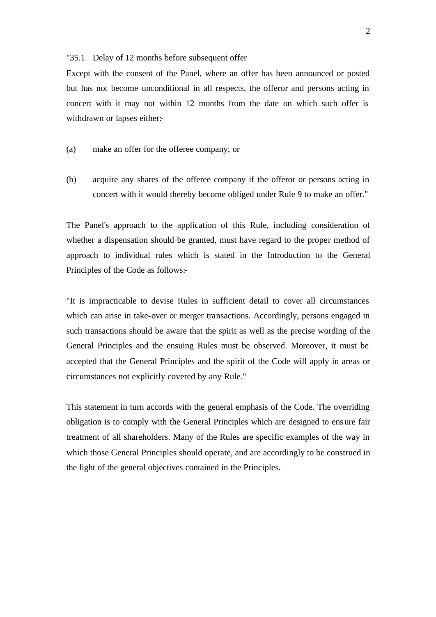#### "35.1 Delay of 12 months before subsequent offer

Except with the consent of the Panel, where an offer has been announced or posted but has not become unconditional in all respects, the offeror and persons acting in concert with it may not within 12 months from the date on which such offer is withdrawn or lapses either:-

- (a) make an offer for the offeree company; or
- (b) acquire any shares of the offeree company if the offeror or persons acting in concert with it would thereby become obliged under Rule 9 to make an offer."

The Panel's approach to the application of this Rule, including consideration of whether a dispensation should be granted, must have regard to the proper method of approach to individual rules which is stated in the Introduction to the General Principles of the Code as follows:-

"It is impracticable to devise Rules in sufficient detail to cover all circumstances which can arise in take-over or merger transactions. Accordingly, persons engaged in such transactions should be aware that the spirit as well as the precise wording of the General Principles and the ensuing Rules must be observed. Moreover, it must be accepted that the General Principles and the spirit of the Code will apply in areas or circumstances not explicitly covered by any Rule."

This statement in turn accords with the general emphasis of the Code. The overriding obligation is to comply with the General Principles which are designed to ensure fair treatment of all shareholders. Many of the Rules are specific examples of the way in which those General Principles should operate, and are accordingly to be construed in the light of the general objectives contained in the Principles.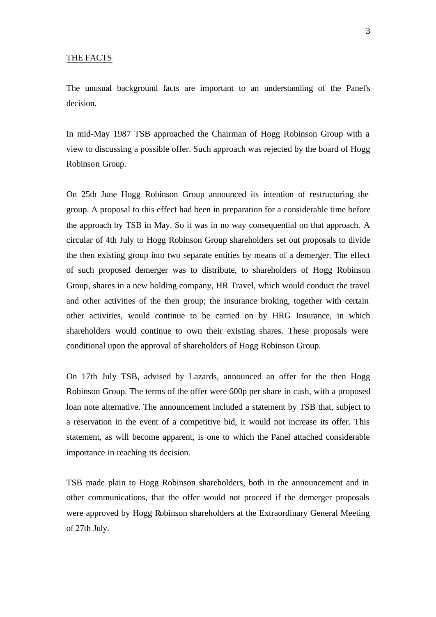#### THE FACTS

The unusual background facts are important to an understanding of the Panel's decision.

In mid-May 1987 TSB approached the Chairman of Hogg Robinson Group with a view to discussing a possible offer. Such approach was rejected by the board of Hogg Robinson Group.

On 25th June Hogg Robinson Group announced its intention of restructuring the group. A proposal to this effect had been in preparation for a considerable time before the approach by TSB in May. So it was in no way consequential on that approach. A circular of 4th July to Hogg Robinson Group shareholders set out proposals to divide the then existing group into two separate entities by means of a demerger. The effect of such proposed demerger was to distribute, to shareholders of Hogg Robinson Group, shares in a new holding company, HR Travel, which would conduct the travel and other activities of the then group; the insurance broking, together with certain other activities, would continue to be carried on by HRG Insurance, in which shareholders would continue to own their existing shares. These proposals were conditional upon the approval of shareholders of Hogg Robinson Group.

On 17th July TSB, advised by Lazards, announced an offer for the then Hogg Robinson Group. The terms of the offer were 600p per share in cash, with a proposed loan note alternative. The announcement included a statement by TSB that, subject to a reservation in the event of a competitive bid, it would not increase its offer. This statement, as will become apparent, is one to which the Panel attached considerable importance in reaching its decision.

TSB made plain to Hogg Robinson shareholders, both in the announcement and in other communications, that the offer would not proceed if the demerger proposals were approved by Hogg Robinson shareholders at the Extraordinary General Meeting of 27th July.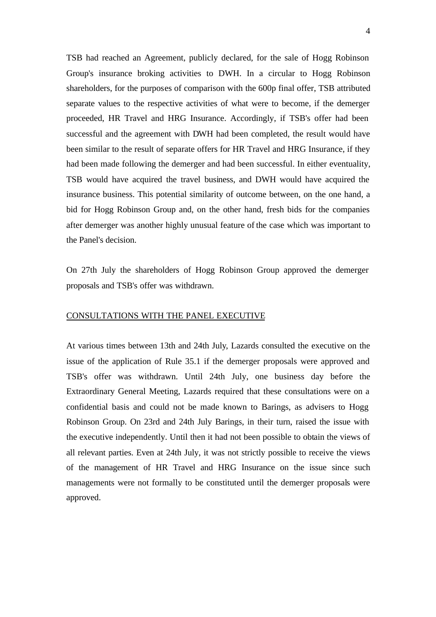TSB had reached an Agreement, publicly declared, for the sale of Hogg Robinson Group's insurance broking activities to DWH. In a circular to Hogg Robinson shareholders, for the purposes of comparison with the 600p final offer, TSB attributed separate values to the respective activities of what were to become, if the demerger proceeded, HR Travel and HRG Insurance. Accordingly, if TSB's offer had been successful and the agreement with DWH had been completed, the result would have been similar to the result of separate offers for HR Travel and HRG Insurance, if they had been made following the demerger and had been successful. In either eventuality, TSB would have acquired the travel business, and DWH would have acquired the insurance business. This potential similarity of outcome between, on the one hand, a bid for Hogg Robinson Group and, on the other hand, fresh bids for the companies after demerger was another highly unusual feature of the case which was important to the Panel's decision.

On 27th July the shareholders of Hogg Robinson Group approved the demerger proposals and TSB's offer was withdrawn.

## CONSULTATIONS WITH THE PANEL EXECUTIVE

At various times between 13th and 24th July, Lazards consulted the executive on the issue of the application of Rule 35.1 if the demerger proposals were approved and TSB's offer was withdrawn. Until 24th July, one business day before the Extraordinary General Meeting, Lazards required that these consultations were on a confidential basis and could not be made known to Barings, as advisers to Hogg Robinson Group. On 23rd and 24th July Barings, in their turn, raised the issue with the executive independently. Until then it had not been possible to obtain the views of all relevant parties. Even at 24th July, it was not strictly possible to receive the views of the management of HR Travel and HRG Insurance on the issue since such managements were not formally to be constituted until the demerger proposals were approved.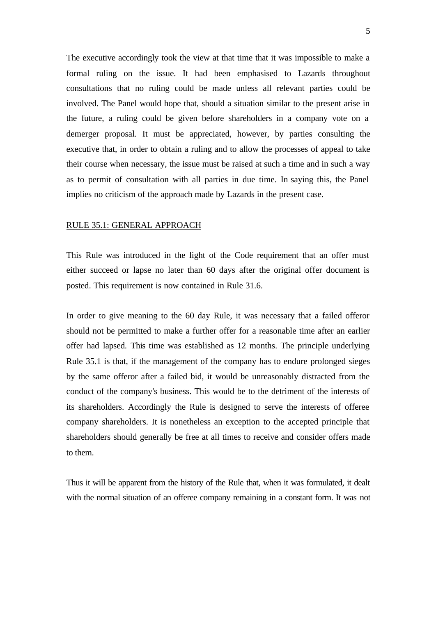The executive accordingly took the view at that time that it was impossible to make a formal ruling on the issue. It had been emphasised to Lazards throughout consultations that no ruling could be made unless all relevant parties could be involved. The Panel would hope that, should a situation similar to the present arise in the future, a ruling could be given before shareholders in a company vote on a demerger proposal. It must be appreciated, however, by parties consulting the executive that, in order to obtain a ruling and to allow the processes of appeal to take their course when necessary, the issue must be raised at such a time and in such a way as to permit of consultation with all parties in due time. In saying this, the Panel implies no criticism of the approach made by Lazards in the present case.

## RULE 35.1: GENERAL APPROACH

This Rule was introduced in the light of the Code requirement that an offer must either succeed or lapse no later than 60 days after the original offer document is posted. This requirement is now contained in Rule 31.6.

In order to give meaning to the 60 day Rule, it was necessary that a failed offeror should not be permitted to make a further offer for a reasonable time after an earlier offer had lapsed. This time was established as 12 months. The principle underlying Rule 35.1 is that, if the management of the company has to endure prolonged sieges by the same offeror after a failed bid, it would be unreasonably distracted from the conduct of the company's business. This would be to the detriment of the interests of its shareholders. Accordingly the Rule is designed to serve the interests of offeree company shareholders. It is nonetheless an exception to the accepted principle that shareholders should generally be free at all times to receive and consider offers made to them.

Thus it will be apparent from the history of the Rule that, when it was formulated, it dealt with the normal situation of an offeree company remaining in a constant form. It was not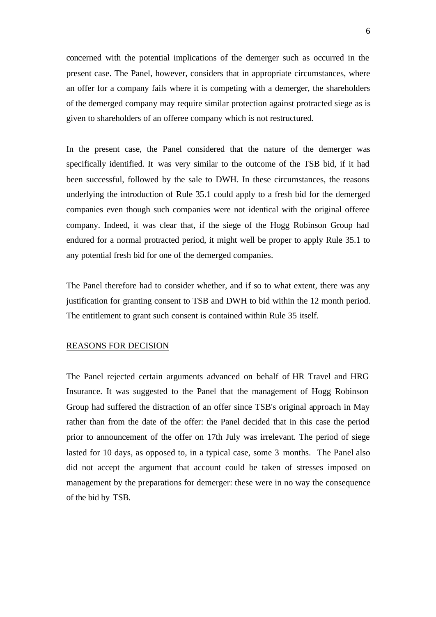concerned with the potential implications of the demerger such as occurred in the present case. The Panel, however, considers that in appropriate circumstances, where an offer for a company fails where it is competing with a demerger, the shareholders of the demerged company may require similar protection against protracted siege as is given to shareholders of an offeree company which is not restructured.

In the present case, the Panel considered that the nature of the demerger was specifically identified. It was very similar to the outcome of the TSB bid, if it had been successful, followed by the sale to DWH. In these circumstances, the reasons underlying the introduction of Rule 35.1 could apply to a fresh bid for the demerged companies even though such companies were not identical with the original offeree company. Indeed, it was clear that, if the siege of the Hogg Robinson Group had endured for a normal protracted period, it might well be proper to apply Rule 35.1 to any potential fresh bid for one of the demerged companies.

The Panel therefore had to consider whether, and if so to what extent, there was any justification for granting consent to TSB and DWH to bid within the 12 month period. The entitlement to grant such consent is contained within Rule 35 itself.

### REASONS FOR DECISION

The Panel rejected certain arguments advanced on behalf of HR Travel and HRG Insurance. It was suggested to the Panel that the management of Hogg Robinson Group had suffered the distraction of an offer since TSB's original approach in May rather than from the date of the offer: the Panel decided that in this case the period prior to announcement of the offer on 17th July was irrelevant. The period of siege lasted for 10 days, as opposed to, in a typical case, some 3 months. The Panel also did not accept the argument that account could be taken of stresses imposed on management by the preparations for demerger: these were in no way the consequence of the bid by TSB.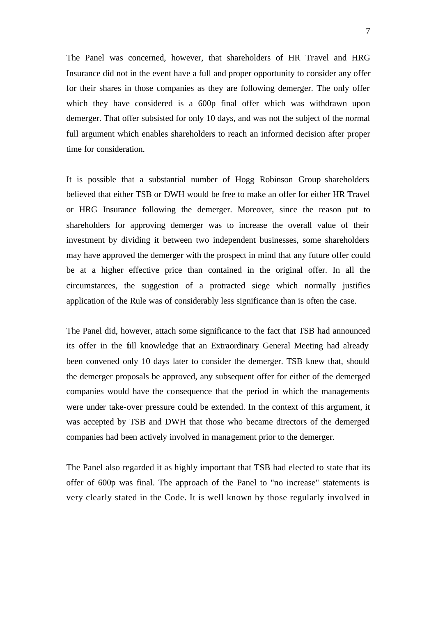The Panel was concerned, however, that shareholders of HR Travel and HRG Insurance did not in the event have a full and proper opportunity to consider any offer for their shares in those companies as they are following demerger. The only offer which they have considered is a 600p final offer which was withdrawn upon demerger. That offer subsisted for only 10 days, and was not the subject of the normal full argument which enables shareholders to reach an informed decision after proper time for consideration.

It is possible that a substantial number of Hogg Robinson Group shareholders believed that either TSB or DWH would be free to make an offer for either HR Travel or HRG Insurance following the demerger. Moreover, since the reason put to shareholders for approving demerger was to increase the overall value of their investment by dividing it between two independent businesses, some shareholders may have approved the demerger with the prospect in mind that any future offer could be at a higher effective price than contained in the original offer. In all the circumstances, the suggestion of a protracted siege which normally justifies application of the Rule was of considerably less significance than is often the case.

The Panel did, however, attach some significance to the fact that TSB had announced its offer in the full knowledge that an Extraordinary General Meeting had already been convened only 10 days later to consider the demerger. TSB knew that, should the demerger proposals be approved, any subsequent offer for either of the demerged companies would have the consequence that the period in which the managements were under take-over pressure could be extended. In the context of this argument, it was accepted by TSB and DWH that those who became directors of the demerged companies had been actively involved in management prior to the demerger.

The Panel also regarded it as highly important that TSB had elected to state that its offer of 600p was final. The approach of the Panel to "no increase" statements is very clearly stated in the Code. It is well known by those regularly involved in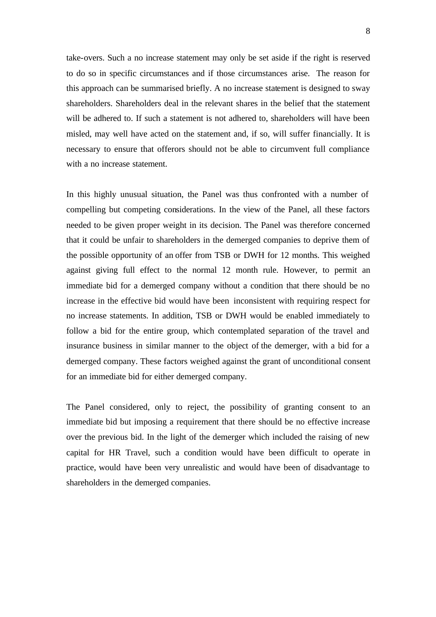take-overs. Such a no increase statement may only be set aside if the right is reserved to do so in specific circumstances and if those circumstances arise. The reason for this approach can be summarised briefly. A no increase statement is designed to sway shareholders. Shareholders deal in the relevant shares in the belief that the statement will be adhered to. If such a statement is not adhered to, shareholders will have been misled, may well have acted on the statement and, if so, will suffer financially. It is necessary to ensure that offerors should not be able to circumvent full compliance with a no increase statement.

In this highly unusual situation, the Panel was thus confronted with a number of compelling but competing considerations. In the view of the Panel, all these factors needed to be given proper weight in its decision. The Panel was therefore concerned that it could be unfair to shareholders in the demerged companies to deprive them of the possible opportunity of an offer from TSB or DWH for 12 months. This weighed against giving full effect to the normal 12 month rule. However, to permit an immediate bid for a demerged company without a condition that there should be no increase in the effective bid would have been inconsistent with requiring respect for no increase statements. In addition, TSB or DWH would be enabled immediately to follow a bid for the entire group, which contemplated separation of the travel and insurance business in similar manner to the object of the demerger, with a bid for a demerged company. These factors weighed against the grant of unconditional consent for an immediate bid for either demerged company.

The Panel considered, only to reject, the possibility of granting consent to an immediate bid but imposing a requirement that there should be no effective increase over the previous bid. In the light of the demerger which included the raising of new capital for HR Travel, such a condition would have been difficult to operate in practice, would have been very unrealistic and would have been of disadvantage to shareholders in the demerged companies.